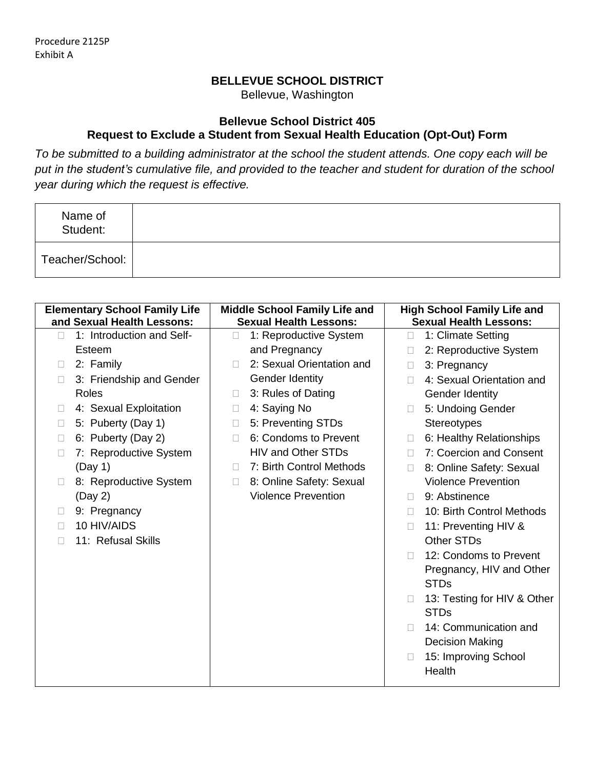## **BELLEVUE SCHOOL DISTRICT**

Bellevue, Washington

## **Bellevue School District 405 Request to Exclude a Student from Sexual Health Education (Opt-Out) Form**

*To be submitted to a building administrator at the school the student attends. One copy each will be put in the student's cumulative file, and provided to the teacher and student for duration of the school year during which the request is effective.*

| Name of<br>Student: |  |
|---------------------|--|
| Teacher/School:     |  |

| <b>Elementary School Family Life</b><br>and Sexual Health Lessons: | <b>Middle School Family Life and</b><br><b>Sexual Health Lessons:</b> | <b>High School Family Life and</b><br><b>Sexual Health Lessons:</b> |
|--------------------------------------------------------------------|-----------------------------------------------------------------------|---------------------------------------------------------------------|
| 1: Introduction and Self-<br>$\Box$                                | 1: Reproductive System<br>П                                           | 1: Climate Setting<br>П                                             |
| Esteem                                                             | and Pregnancy                                                         | 2: Reproductive System                                              |
| 2: Family<br>$\Box$                                                | 2: Sexual Orientation and<br>$\Box$                                   | 3: Pregnancy<br>П                                                   |
| 3: Friendship and Gender<br>$\Box$                                 | Gender Identity                                                       | 4: Sexual Orientation and                                           |
| <b>Roles</b>                                                       | 3: Rules of Dating<br>П                                               | Gender Identity                                                     |
| 4: Sexual Exploitation<br>$\Box$                                   | 4: Saying No<br>П                                                     | 5: Undoing Gender                                                   |
| 5: Puberty (Day 1)<br>$\Box$                                       | 5: Preventing STDs<br>П                                               | <b>Stereotypes</b>                                                  |
| 6: Puberty (Day 2)<br>$\Box$                                       | 6: Condoms to Prevent<br>П                                            | 6: Healthy Relationships<br>П                                       |
| 7: Reproductive System<br>$\Box$                                   | <b>HIV and Other STDs</b>                                             | 7: Coercion and Consent<br>П                                        |
| (Day 1)                                                            | 7: Birth Control Methods<br>П                                         | 8: Online Safety: Sexual<br>П                                       |
| 8: Reproductive System<br>$\mathbf{L}$                             | 8: Online Safety: Sexual<br>П                                         | <b>Violence Prevention</b>                                          |
| (Day 2)                                                            | <b>Violence Prevention</b>                                            | 9: Abstinence                                                       |
| 9: Pregnancy<br>$\Box$                                             |                                                                       | 10: Birth Control Methods<br>П                                      |
| 10 HIV/AIDS<br>$\Box$                                              |                                                                       | 11: Preventing HIV &<br>П                                           |
| 11: Refusal Skills<br>П                                            |                                                                       | Other STDs                                                          |
|                                                                    |                                                                       | 12: Condoms to Prevent                                              |
|                                                                    |                                                                       | Pregnancy, HIV and Other                                            |
|                                                                    |                                                                       | <b>STDs</b>                                                         |
|                                                                    |                                                                       | 13: Testing for HIV & Other<br>П                                    |
|                                                                    |                                                                       | <b>STDs</b>                                                         |
|                                                                    |                                                                       | 14: Communication and                                               |
|                                                                    |                                                                       | <b>Decision Making</b>                                              |
|                                                                    |                                                                       | 15: Improving School<br>П                                           |
|                                                                    |                                                                       | Health                                                              |
|                                                                    |                                                                       |                                                                     |